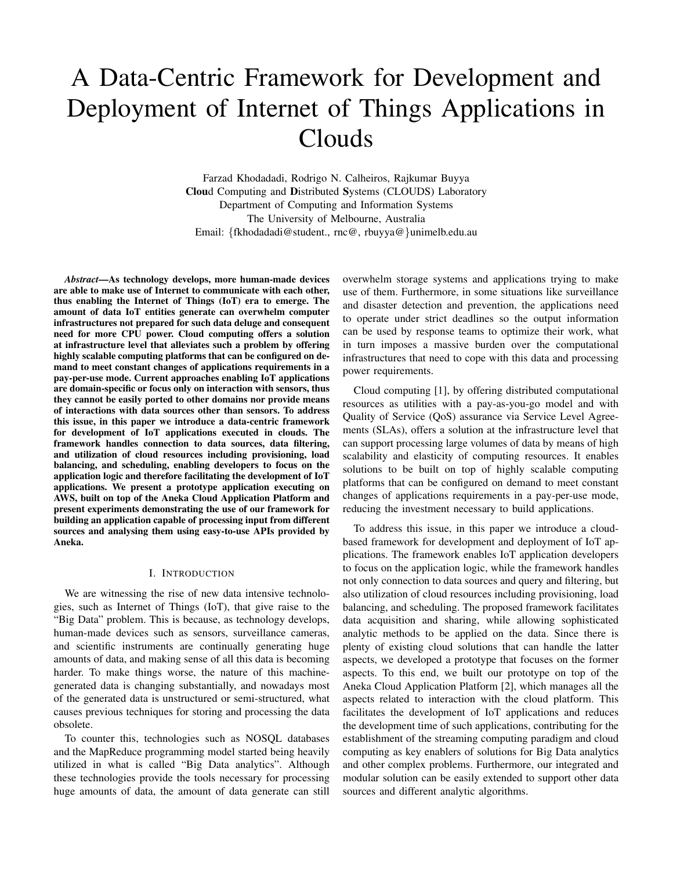# A Data-Centric Framework for Development and Deployment of Internet of Things Applications in Clouds

Farzad Khodadadi, Rodrigo N. Calheiros, Rajkumar Buyya Cloud Computing and Distributed Systems (CLOUDS) Laboratory Department of Computing and Information Systems The University of Melbourne, Australia Email: {fkhodadadi@student., rnc@, rbuyya@}unimelb.edu.au

*Abstract*—As technology develops, more human-made devices are able to make use of Internet to communicate with each other, thus enabling the Internet of Things (IoT) era to emerge. The amount of data IoT entities generate can overwhelm computer infrastructures not prepared for such data deluge and consequent need for more CPU power. Cloud computing offers a solution at infrastructure level that alleviates such a problem by offering highly scalable computing platforms that can be configured on demand to meet constant changes of applications requirements in a pay-per-use mode. Current approaches enabling IoT applications are domain-specific or focus only on interaction with sensors, thus they cannot be easily ported to other domains nor provide means of interactions with data sources other than sensors. To address this issue, in this paper we introduce a data-centric framework for development of IoT applications executed in clouds. The framework handles connection to data sources, data filtering, and utilization of cloud resources including provisioning, load balancing, and scheduling, enabling developers to focus on the application logic and therefore facilitating the development of IoT applications. We present a prototype application executing on AWS, built on top of the Aneka Cloud Application Platform and present experiments demonstrating the use of our framework for building an application capable of processing input from different sources and analysing them using easy-to-use APIs provided by Aneka.

# I. INTRODUCTION

We are witnessing the rise of new data intensive technologies, such as Internet of Things (IoT), that give raise to the "Big Data" problem. This is because, as technology develops, human-made devices such as sensors, surveillance cameras, and scientific instruments are continually generating huge amounts of data, and making sense of all this data is becoming harder. To make things worse, the nature of this machinegenerated data is changing substantially, and nowadays most of the generated data is unstructured or semi-structured, what causes previous techniques for storing and processing the data obsolete.

To counter this, technologies such as NOSQL databases and the MapReduce programming model started being heavily utilized in what is called "Big Data analytics". Although these technologies provide the tools necessary for processing huge amounts of data, the amount of data generate can still overwhelm storage systems and applications trying to make use of them. Furthermore, in some situations like surveillance and disaster detection and prevention, the applications need to operate under strict deadlines so the output information can be used by response teams to optimize their work, what in turn imposes a massive burden over the computational infrastructures that need to cope with this data and processing power requirements.

Cloud computing [1], by offering distributed computational resources as utilities with a pay-as-you-go model and with Quality of Service (QoS) assurance via Service Level Agreements (SLAs), offers a solution at the infrastructure level that can support processing large volumes of data by means of high scalability and elasticity of computing resources. It enables solutions to be built on top of highly scalable computing platforms that can be configured on demand to meet constant changes of applications requirements in a pay-per-use mode, reducing the investment necessary to build applications.

To address this issue, in this paper we introduce a cloudbased framework for development and deployment of IoT applications. The framework enables IoT application developers to focus on the application logic, while the framework handles not only connection to data sources and query and filtering, but also utilization of cloud resources including provisioning, load balancing, and scheduling. The proposed framework facilitates data acquisition and sharing, while allowing sophisticated analytic methods to be applied on the data. Since there is plenty of existing cloud solutions that can handle the latter aspects, we developed a prototype that focuses on the former aspects. To this end, we built our prototype on top of the Aneka Cloud Application Platform [2], which manages all the aspects related to interaction with the cloud platform. This facilitates the development of IoT applications and reduces the development time of such applications, contributing for the establishment of the streaming computing paradigm and cloud computing as key enablers of solutions for Big Data analytics and other complex problems. Furthermore, our integrated and modular solution can be easily extended to support other data sources and different analytic algorithms.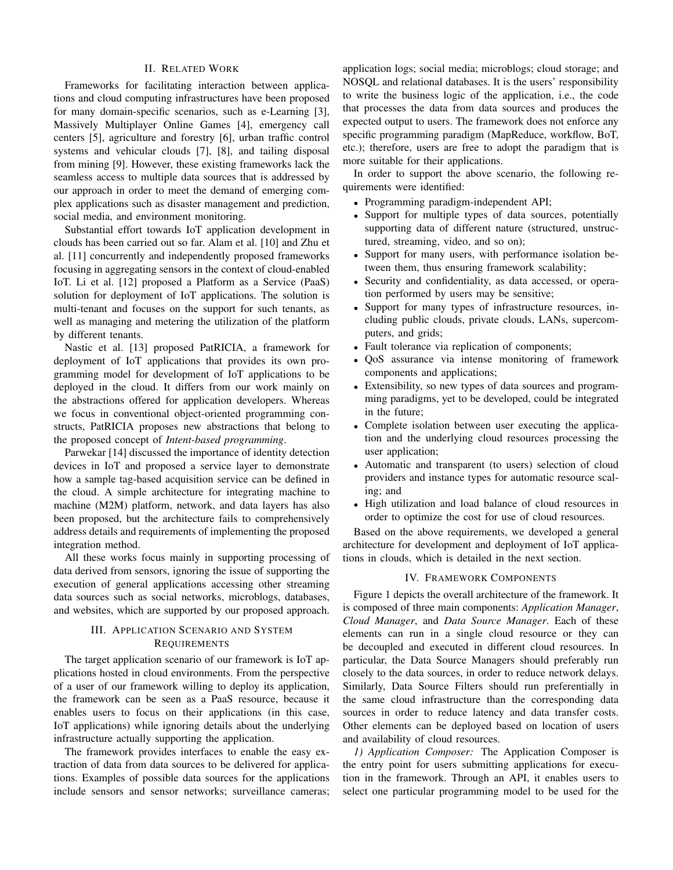#### II. RELATED WORK

Frameworks for facilitating interaction between applications and cloud computing infrastructures have been proposed for many domain-specific scenarios, such as e-Learning [3], Massively Multiplayer Online Games [4], emergency call centers [5], agriculture and forestry [6], urban traffic control systems and vehicular clouds [7], [8], and tailing disposal from mining [9]. However, these existing frameworks lack the seamless access to multiple data sources that is addressed by our approach in order to meet the demand of emerging complex applications such as disaster management and prediction, social media, and environment monitoring.

Substantial effort towards IoT application development in clouds has been carried out so far. Alam et al. [10] and Zhu et al. [11] concurrently and independently proposed frameworks focusing in aggregating sensors in the context of cloud-enabled IoT. Li et al. [12] proposed a Platform as a Service (PaaS) solution for deployment of IoT applications. The solution is multi-tenant and focuses on the support for such tenants, as well as managing and metering the utilization of the platform by different tenants.

Nastic et al. [13] proposed PatRICIA, a framework for deployment of IoT applications that provides its own programming model for development of IoT applications to be deployed in the cloud. It differs from our work mainly on the abstractions offered for application developers. Whereas we focus in conventional object-oriented programming constructs, PatRICIA proposes new abstractions that belong to the proposed concept of *Intent-based programming*.

Parwekar [14] discussed the importance of identity detection devices in IoT and proposed a service layer to demonstrate how a sample tag-based acquisition service can be defined in the cloud. A simple architecture for integrating machine to machine (M2M) platform, network, and data layers has also been proposed, but the architecture fails to comprehensively address details and requirements of implementing the proposed integration method.

All these works focus mainly in supporting processing of data derived from sensors, ignoring the issue of supporting the execution of general applications accessing other streaming data sources such as social networks, microblogs, databases, and websites, which are supported by our proposed approach.

# III. APPLICATION SCENARIO AND SYSTEM **REQUIREMENTS**

The target application scenario of our framework is IoT applications hosted in cloud environments. From the perspective of a user of our framework willing to deploy its application, the framework can be seen as a PaaS resource, because it enables users to focus on their applications (in this case, IoT applications) while ignoring details about the underlying infrastructure actually supporting the application.

The framework provides interfaces to enable the easy extraction of data from data sources to be delivered for applications. Examples of possible data sources for the applications include sensors and sensor networks; surveillance cameras;

application logs; social media; microblogs; cloud storage; and NOSQL and relational databases. It is the users' responsibility to write the business logic of the application, i.e., the code that processes the data from data sources and produces the expected output to users. The framework does not enforce any specific programming paradigm (MapReduce, workflow, BoT, etc.); therefore, users are free to adopt the paradigm that is more suitable for their applications.

In order to support the above scenario, the following requirements were identified:

- Programming paradigm-independent API;
- Support for multiple types of data sources, potentially supporting data of different nature (structured, unstructured, streaming, video, and so on);
- Support for many users, with performance isolation between them, thus ensuring framework scalability;
- Security and confidentiality, as data accessed, or operation performed by users may be sensitive;
- Support for many types of infrastructure resources, including public clouds, private clouds, LANs, supercomputers, and grids;
- Fault tolerance via replication of components;
- QoS assurance via intense monitoring of framework components and applications;
- Extensibility, so new types of data sources and programming paradigms, yet to be developed, could be integrated in the future;
- Complete isolation between user executing the application and the underlying cloud resources processing the user application;
- Automatic and transparent (to users) selection of cloud providers and instance types for automatic resource scaling; and
- High utilization and load balance of cloud resources in order to optimize the cost for use of cloud resources.

Based on the above requirements, we developed a general architecture for development and deployment of IoT applications in clouds, which is detailed in the next section.

#### IV. FRAMEWORK COMPONENTS

Figure 1 depicts the overall architecture of the framework. It is composed of three main components: *Application Manager*, *Cloud Manager*, and *Data Source Manager*. Each of these elements can run in a single cloud resource or they can be decoupled and executed in different cloud resources. In particular, the Data Source Managers should preferably run closely to the data sources, in order to reduce network delays. Similarly, Data Source Filters should run preferentially in the same cloud infrastructure than the corresponding data sources in order to reduce latency and data transfer costs. Other elements can be deployed based on location of users and availability of cloud resources.

*1) Application Composer:* The Application Composer is the entry point for users submitting applications for execution in the framework. Through an API, it enables users to select one particular programming model to be used for the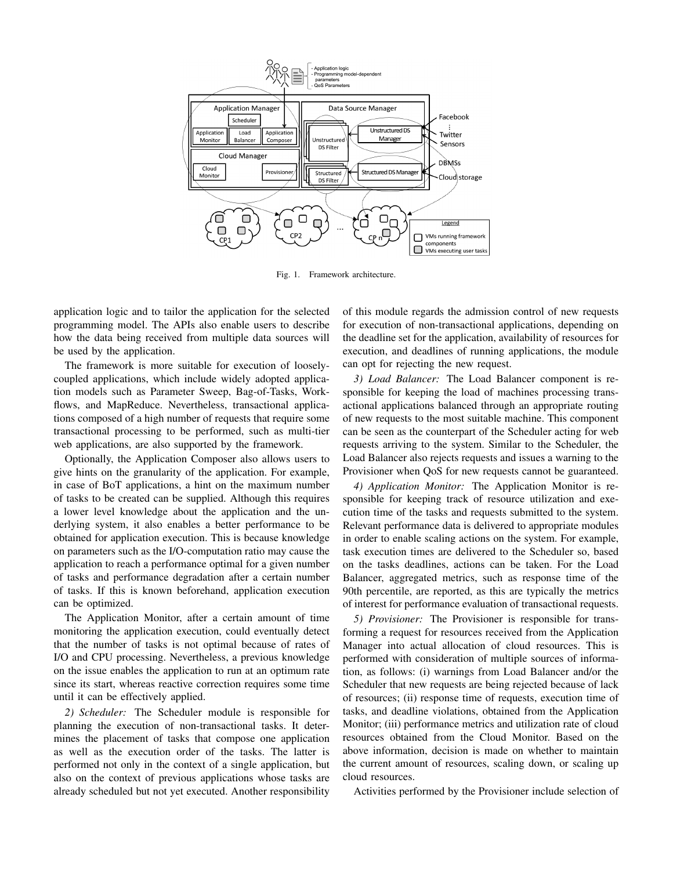

Fig. 1. Framework architecture.

application logic and to tailor the application for the selected programming model. The APIs also enable users to describe how the data being received from multiple data sources will be used by the application.

The framework is more suitable for execution of looselycoupled applications, which include widely adopted application models such as Parameter Sweep, Bag-of-Tasks, Workflows, and MapReduce. Nevertheless, transactional applications composed of a high number of requests that require some transactional processing to be performed, such as multi-tier web applications, are also supported by the framework.

Optionally, the Application Composer also allows users to give hints on the granularity of the application. For example, in case of BoT applications, a hint on the maximum number of tasks to be created can be supplied. Although this requires a lower level knowledge about the application and the underlying system, it also enables a better performance to be obtained for application execution. This is because knowledge on parameters such as the I/O-computation ratio may cause the application to reach a performance optimal for a given number of tasks and performance degradation after a certain number of tasks. If this is known beforehand, application execution can be optimized.

The Application Monitor, after a certain amount of time monitoring the application execution, could eventually detect that the number of tasks is not optimal because of rates of I/O and CPU processing. Nevertheless, a previous knowledge on the issue enables the application to run at an optimum rate since its start, whereas reactive correction requires some time until it can be effectively applied.

*2) Scheduler:* The Scheduler module is responsible for planning the execution of non-transactional tasks. It determines the placement of tasks that compose one application as well as the execution order of the tasks. The latter is performed not only in the context of a single application, but also on the context of previous applications whose tasks are already scheduled but not yet executed. Another responsibility

of this module regards the admission control of new requests for execution of non-transactional applications, depending on the deadline set for the application, availability of resources for execution, and deadlines of running applications, the module can opt for rejecting the new request.

*3) Load Balancer:* The Load Balancer component is responsible for keeping the load of machines processing transactional applications balanced through an appropriate routing of new requests to the most suitable machine. This component can be seen as the counterpart of the Scheduler acting for web requests arriving to the system. Similar to the Scheduler, the Load Balancer also rejects requests and issues a warning to the Provisioner when QoS for new requests cannot be guaranteed.

*4) Application Monitor:* The Application Monitor is responsible for keeping track of resource utilization and execution time of the tasks and requests submitted to the system. Relevant performance data is delivered to appropriate modules in order to enable scaling actions on the system. For example, task execution times are delivered to the Scheduler so, based on the tasks deadlines, actions can be taken. For the Load Balancer, aggregated metrics, such as response time of the 90th percentile, are reported, as this are typically the metrics of interest for performance evaluation of transactional requests.

*5) Provisioner:* The Provisioner is responsible for transforming a request for resources received from the Application Manager into actual allocation of cloud resources. This is performed with consideration of multiple sources of information, as follows: (i) warnings from Load Balancer and/or the Scheduler that new requests are being rejected because of lack of resources; (ii) response time of requests, execution time of tasks, and deadline violations, obtained from the Application Monitor; (iii) performance metrics and utilization rate of cloud resources obtained from the Cloud Monitor. Based on the above information, decision is made on whether to maintain the current amount of resources, scaling down, or scaling up cloud resources.

Activities performed by the Provisioner include selection of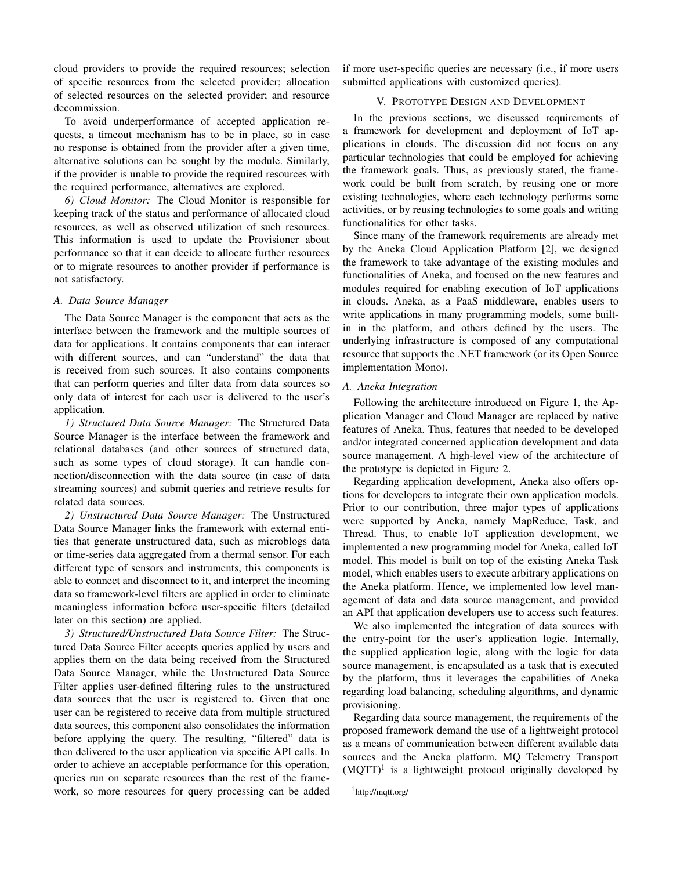cloud providers to provide the required resources; selection of specific resources from the selected provider; allocation of selected resources on the selected provider; and resource decommission.

To avoid underperformance of accepted application requests, a timeout mechanism has to be in place, so in case no response is obtained from the provider after a given time, alternative solutions can be sought by the module. Similarly, if the provider is unable to provide the required resources with the required performance, alternatives are explored.

*6) Cloud Monitor:* The Cloud Monitor is responsible for keeping track of the status and performance of allocated cloud resources, as well as observed utilization of such resources. This information is used to update the Provisioner about performance so that it can decide to allocate further resources or to migrate resources to another provider if performance is not satisfactory.

# *A. Data Source Manager*

The Data Source Manager is the component that acts as the interface between the framework and the multiple sources of data for applications. It contains components that can interact with different sources, and can "understand" the data that is received from such sources. It also contains components that can perform queries and filter data from data sources so only data of interest for each user is delivered to the user's application.

*1) Structured Data Source Manager:* The Structured Data Source Manager is the interface between the framework and relational databases (and other sources of structured data, such as some types of cloud storage). It can handle connection/disconnection with the data source (in case of data streaming sources) and submit queries and retrieve results for related data sources.

*2) Unstructured Data Source Manager:* The Unstructured Data Source Manager links the framework with external entities that generate unstructured data, such as microblogs data or time-series data aggregated from a thermal sensor. For each different type of sensors and instruments, this components is able to connect and disconnect to it, and interpret the incoming data so framework-level filters are applied in order to eliminate meaningless information before user-specific filters (detailed later on this section) are applied.

*3) Structured/Unstructured Data Source Filter:* The Structured Data Source Filter accepts queries applied by users and applies them on the data being received from the Structured Data Source Manager, while the Unstructured Data Source Filter applies user-defined filtering rules to the unstructured data sources that the user is registered to. Given that one user can be registered to receive data from multiple structured data sources, this component also consolidates the information before applying the query. The resulting, "filtered" data is then delivered to the user application via specific API calls. In order to achieve an acceptable performance for this operation, queries run on separate resources than the rest of the framework, so more resources for query processing can be added if more user-specific queries are necessary (i.e., if more users submitted applications with customized queries).

# V. PROTOTYPE DESIGN AND DEVELOPMENT

In the previous sections, we discussed requirements of a framework for development and deployment of IoT applications in clouds. The discussion did not focus on any particular technologies that could be employed for achieving the framework goals. Thus, as previously stated, the framework could be built from scratch, by reusing one or more existing technologies, where each technology performs some activities, or by reusing technologies to some goals and writing functionalities for other tasks.

Since many of the framework requirements are already met by the Aneka Cloud Application Platform [2], we designed the framework to take advantage of the existing modules and functionalities of Aneka, and focused on the new features and modules required for enabling execution of IoT applications in clouds. Aneka, as a PaaS middleware, enables users to write applications in many programming models, some builtin in the platform, and others defined by the users. The underlying infrastructure is composed of any computational resource that supports the .NET framework (or its Open Source implementation Mono).

#### *A. Aneka Integration*

Following the architecture introduced on Figure 1, the Application Manager and Cloud Manager are replaced by native features of Aneka. Thus, features that needed to be developed and/or integrated concerned application development and data source management. A high-level view of the architecture of the prototype is depicted in Figure 2.

Regarding application development, Aneka also offers options for developers to integrate their own application models. Prior to our contribution, three major types of applications were supported by Aneka, namely MapReduce, Task, and Thread. Thus, to enable IoT application development, we implemented a new programming model for Aneka, called IoT model. This model is built on top of the existing Aneka Task model, which enables users to execute arbitrary applications on the Aneka platform. Hence, we implemented low level management of data and data source management, and provided an API that application developers use to access such features.

We also implemented the integration of data sources with the entry-point for the user's application logic. Internally, the supplied application logic, along with the logic for data source management, is encapsulated as a task that is executed by the platform, thus it leverages the capabilities of Aneka regarding load balancing, scheduling algorithms, and dynamic provisioning.

Regarding data source management, the requirements of the proposed framework demand the use of a lightweight protocol as a means of communication between different available data sources and the Aneka platform. MQ Telemetry Transport  $(MQTT)^1$  is a lightweight protocol originally developed by

<sup>1</sup>http://mqtt.org/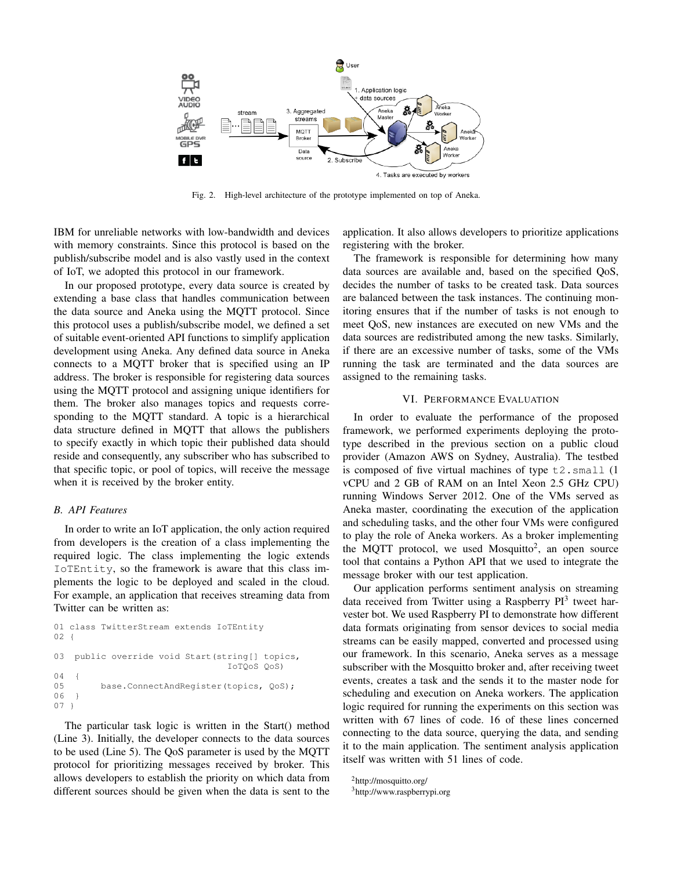

Fig. 2. High-level architecture of the prototype implemented on top of Aneka.

IBM for unreliable networks with low-bandwidth and devices with memory constraints. Since this protocol is based on the publish/subscribe model and is also vastly used in the context of IoT, we adopted this protocol in our framework.

In our proposed prototype, every data source is created by extending a base class that handles communication between the data source and Aneka using the MQTT protocol. Since this protocol uses a publish/subscribe model, we defined a set of suitable event-oriented API functions to simplify application development using Aneka. Any defined data source in Aneka connects to a MQTT broker that is specified using an IP address. The broker is responsible for registering data sources using the MQTT protocol and assigning unique identifiers for them. The broker also manages topics and requests corresponding to the MQTT standard. A topic is a hierarchical data structure defined in MQTT that allows the publishers to specify exactly in which topic their published data should reside and consequently, any subscriber who has subscribed to that specific topic, or pool of topics, will receive the message when it is received by the broker entity.

#### *B. API Features*

In order to write an IoT application, the only action required from developers is the creation of a class implementing the required logic. The class implementing the logic extends IoTEntity, so the framework is aware that this class implements the logic to be deployed and scaled in the cloud. For example, an application that receives streaming data from Twitter can be written as:

```
01 class TwitterStream extends IoTEntity
02 \quad03 public override void Start(string[] topics,
                                   IoTQoS QoS)
0405 base.ConnectAndRegister(topics, QoS);
06 }
07<sup>1</sup>
```
The particular task logic is written in the Start() method (Line 3). Initially, the developer connects to the data sources to be used (Line 5). The QoS parameter is used by the MQTT protocol for prioritizing messages received by broker. This allows developers to establish the priority on which data from different sources should be given when the data is sent to the application. It also allows developers to prioritize applications registering with the broker.

The framework is responsible for determining how many data sources are available and, based on the specified QoS, decides the number of tasks to be created task. Data sources are balanced between the task instances. The continuing monitoring ensures that if the number of tasks is not enough to meet QoS, new instances are executed on new VMs and the data sources are redistributed among the new tasks. Similarly, if there are an excessive number of tasks, some of the VMs running the task are terminated and the data sources are assigned to the remaining tasks.

#### VI. PERFORMANCE EVALUATION

In order to evaluate the performance of the proposed framework, we performed experiments deploying the prototype described in the previous section on a public cloud provider (Amazon AWS on Sydney, Australia). The testbed is composed of five virtual machines of type t2.small (1 vCPU and 2 GB of RAM on an Intel Xeon 2.5 GHz CPU) running Windows Server 2012. One of the VMs served as Aneka master, coordinating the execution of the application and scheduling tasks, and the other four VMs were configured to play the role of Aneka workers. As a broker implementing the MQTT protocol, we used Mosquitto<sup>2</sup>, an open source tool that contains a Python API that we used to integrate the message broker with our test application.

Our application performs sentiment analysis on streaming data received from Twitter using a Raspberry  $PI<sup>3</sup>$  tweet harvester bot. We used Raspberry PI to demonstrate how different data formats originating from sensor devices to social media streams can be easily mapped, converted and processed using our framework. In this scenario, Aneka serves as a message subscriber with the Mosquitto broker and, after receiving tweet events, creates a task and the sends it to the master node for scheduling and execution on Aneka workers. The application logic required for running the experiments on this section was written with 67 lines of code. 16 of these lines concerned connecting to the data source, querying the data, and sending it to the main application. The sentiment analysis application itself was written with 51 lines of code.

<sup>2</sup>http://mosquitto.org/

<sup>3</sup>http://www.raspberrypi.org